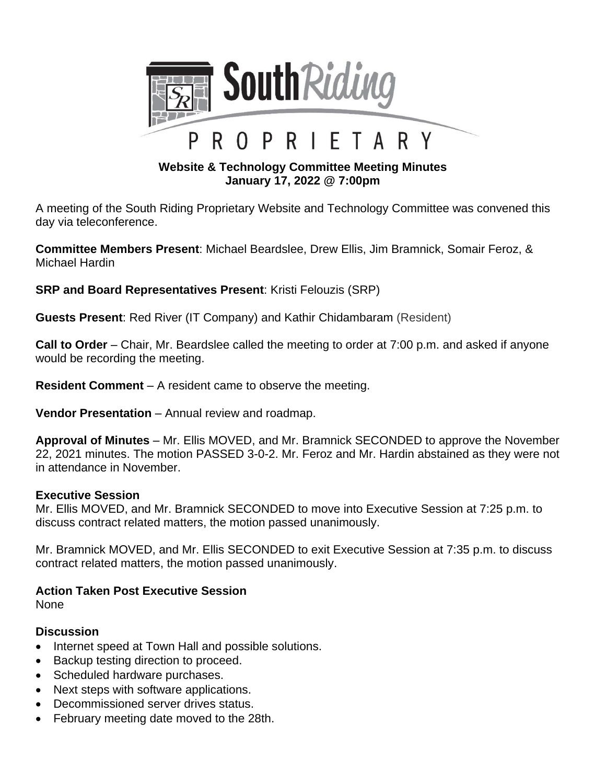

## **Website & Technology Committee Meeting Minutes January 17, 2022 @ 7:00pm**

A meeting of the South Riding Proprietary Website and Technology Committee was convened this day via teleconference.

**Committee Members Present**: Michael Beardslee, Drew Ellis, Jim Bramnick, Somair Feroz, & Michael Hardin

**SRP and Board Representatives Present**: Kristi Felouzis (SRP)

**Guests Present**: Red River (IT Company) and Kathir Chidambaram (Resident)

**Call to Order** – Chair, Mr. Beardslee called the meeting to order at 7:00 p.m. and asked if anyone would be recording the meeting.

**Resident Comment** – A resident came to observe the meeting.

**Vendor Presentation** – Annual review and roadmap.

**Approval of Minutes** – Mr. Ellis MOVED, and Mr. Bramnick SECONDED to approve the November 22, 2021 minutes. The motion PASSED 3-0-2. Mr. Feroz and Mr. Hardin abstained as they were not in attendance in November.

## **Executive Session**

Mr. Ellis MOVED, and Mr. Bramnick SECONDED to move into Executive Session at 7:25 p.m. to discuss contract related matters, the motion passed unanimously.

Mr. Bramnick MOVED, and Mr. Ellis SECONDED to exit Executive Session at 7:35 p.m. to discuss contract related matters, the motion passed unanimously.

## **Action Taken Post Executive Session**

None

## **Discussion**

- Internet speed at Town Hall and possible solutions.
- Backup testing direction to proceed.
- Scheduled hardware purchases.
- Next steps with software applications.
- Decommissioned server drives status.
- February meeting date moved to the 28th.